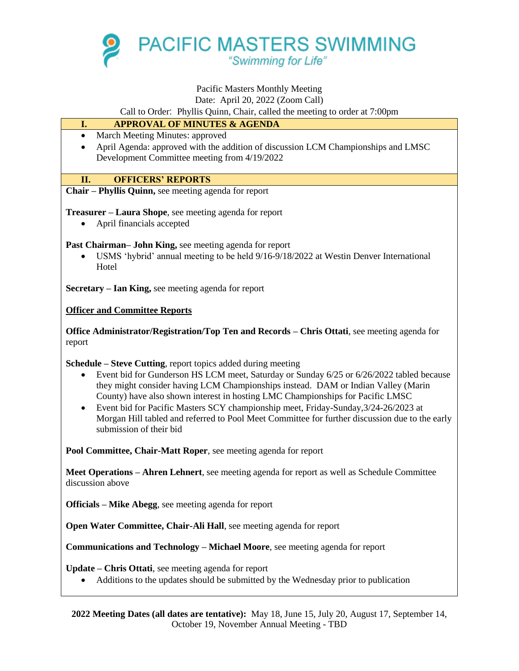

# Pacific Masters Monthly Meeting

Date: April 20, 2022 (Zoom Call)

Call to Order: Phyllis Quinn, Chair, called the meeting to order at 7:00pm

### **I. APPROVAL OF MINUTES & AGENDA**

- March Meeting Minutes: approved
- April Agenda: approved with the addition of discussion LCM Championships and LMSC Development Committee meeting from 4/19/2022

## **II. OFFICERS' REPORTS**

**Chair – Phyllis Quinn,** see meeting agenda for report

**Treasurer – Laura Shope**, see meeting agenda for report

April financials accepted

**Past Chairman– John King,** see meeting agenda for report

 USMS 'hybrid' annual meeting to be held 9/16-9/18/2022 at Westin Denver International **Hotel** 

**Secretary – Ian King,** see meeting agenda for report

**Officer and Committee Reports**

**Office Administrator/Registration/Top Ten and Records – Chris Ottati**, see meeting agenda for report

**Schedule – Steve Cutting**, report topics added during meeting

- Event bid for Gunderson HS LCM meet, Saturday or Sunday 6/25 or 6/26/2022 tabled because they might consider having LCM Championships instead. DAM or Indian Valley (Marin County) have also shown interest in hosting LMC Championships for Pacific LMSC
- Event bid for Pacific Masters SCY championship meet, Friday-Sunday,3/24-26/2023 at Morgan Hill tabled and referred to Pool Meet Committee for further discussion due to the early submission of their bid

**Pool Committee, Chair-Matt Roper**, see meeting agenda for report

**Meet Operations – Ahren Lehnert**, see meeting agenda for report as well as Schedule Committee discussion above

**Officials – Mike Abegg**, see meeting agenda for report

**Open Water Committee, Chair-Ali Hall**, see meeting agenda for report

**Communications and Technology – Michael Moore**, see meeting agenda for report

**Update – Chris Ottati**, see meeting agenda for report

Additions to the updates should be submitted by the Wednesday prior to publication

**2022 Meeting Dates (all dates are tentative):** May 18, June 15, July 20, August 17, September 14, October 19, November Annual Meeting - TBD